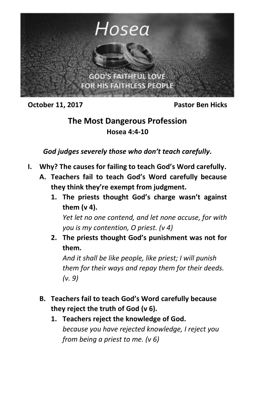

**October 11, 2017** Pastor Ben Hicks

## **The Most Dangerous Profession Hosea 4:4-10**

*God judges severely those who don't teach carefully.*

- **I. Why? The causes for failing to teach God's Word carefully.**
	- **A. Teachers fail to teach God's Word carefully because they think they're exempt from judgment.**
		- **1. The priests thought God's charge wasn't against them (v 4).**

*Yet let no one contend, and let none accuse, for with you is my contention, O priest. (v 4)*

**2. The priests thought God's punishment was not for them.**

*And it shall be like people, like priest; I will punish them for their ways and repay them for their deeds. (v. 9)*

- **B. Teachers fail to teach God's Word carefully because they reject the truth of God (v 6).**
	- **1. Teachers reject the knowledge of God.** *because you have rejected knowledge, I reject you from being a priest to me. (v 6)*